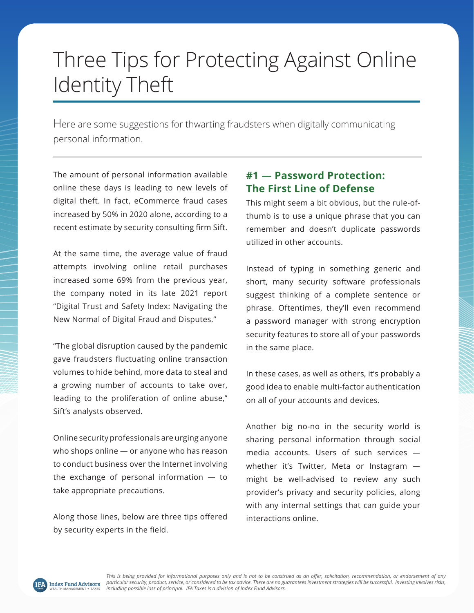# Three Tips for Protecting Against Online Identity Theft

Here are some suggestions for thwarting fraudsters when digitally communicating personal information.

The amount of personal information available online these days is leading to new levels of digital theft. In fact, eCommerce fraud cases increased by 50% in 2020 alone, according to a recent estimate by security consulting firm Sift.

At the same time, the average value of fraud attempts involving online retail purchases increased some 69% from the previous year, the company noted in its late 2021 report "Digital Trust and Safety Index: Navigating the New Normal of Digital Fraud and Disputes."

"The global disruption caused by the pandemic gave fraudsters fluctuating online transaction volumes to hide behind, more data to steal and a growing number of accounts to take over, leading to the proliferation of online abuse," Sift's analysts observed.

Online security professionals are urging anyone who shops online — or anyone who has reason to conduct business over the Internet involving the exchange of personal information — to take appropriate precautions.

Along those lines, below are three tips offered by security experts in the field.

### **#1 — Password Protection: The First Line of Defense**

This might seem a bit obvious, but the rule-ofthumb is to use a unique phrase that you can remember and doesn't duplicate passwords utilized in other accounts.

Instead of typing in something generic and short, many security software professionals suggest thinking of a complete sentence or phrase. Oftentimes, they'll even recommend a password manager with strong encryption security features to store all of your passwords in the same place.

In these cases, as well as others, it's probably a good idea to enable multi-factor authentication on all of your accounts and devices.

Another big no-no in the security world is sharing personal information through social media accounts. Users of such services whether it's Twitter, Meta or Instagram might be well-advised to review any such provider's privacy and security policies, along with any internal settings that can guide your interactions online.

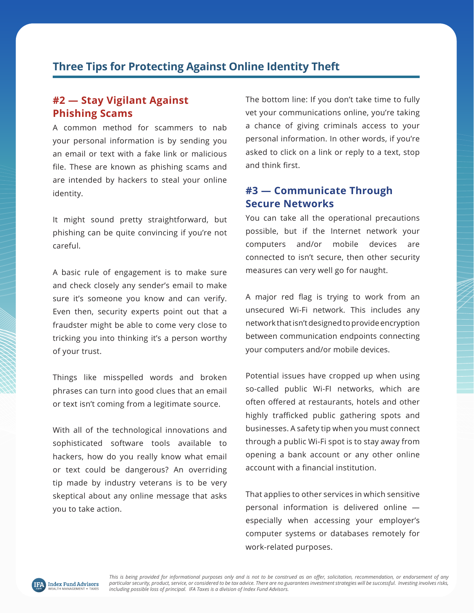## **Three Tips for Protecting Against Online Identity Theft**

#### **#2 — Stay Vigilant Against Phishing Scams**

A common method for scammers to nab your personal information is by sending you an email or text with a fake link or malicious file. These are known as phishing scams and are intended by hackers to steal your online identity.

It might sound pretty straightforward, but phishing can be quite convincing if you're not careful.

A basic rule of engagement is to make sure and check closely any sender's email to make sure it's someone you know and can verify. Even then, security experts point out that a fraudster might be able to come very close to tricking you into thinking it's a person worthy of your trust.

Things like misspelled words and broken phrases can turn into good clues that an email or text isn't coming from a legitimate source.

With all of the technological innovations and sophisticated software tools available to hackers, how do you really know what email or text could be dangerous? An overriding tip made by industry veterans is to be very skeptical about any online message that asks you to take action.

The bottom line: If you don't take time to fully vet your communications online, you're taking a chance of giving criminals access to your personal information. In other words, if you're asked to click on a link or reply to a text, stop and think first.

#### **#3 — Communicate Through Secure Networks**

You can take all the operational precautions possible, but if the Internet network your computers and/or mobile devices are connected to isn't secure, then other security measures can very well go for naught.

A major red flag is trying to work from an unsecured Wi-Fi network. This includes any network that isn't designed to provide encryption between communication endpoints connecting your computers and/or mobile devices.

Potential issues have cropped up when using so-called public Wi-FI networks, which are often offered at restaurants, hotels and other highly trafficked public gathering spots and businesses. A safety tip when you must connect through a public Wi-Fi spot is to stay away from opening a bank account or any other online account with a financial institution.

That applies to other services in which sensitive personal information is delivered online especially when accessing your employer's computer systems or databases remotely for work-related purposes.